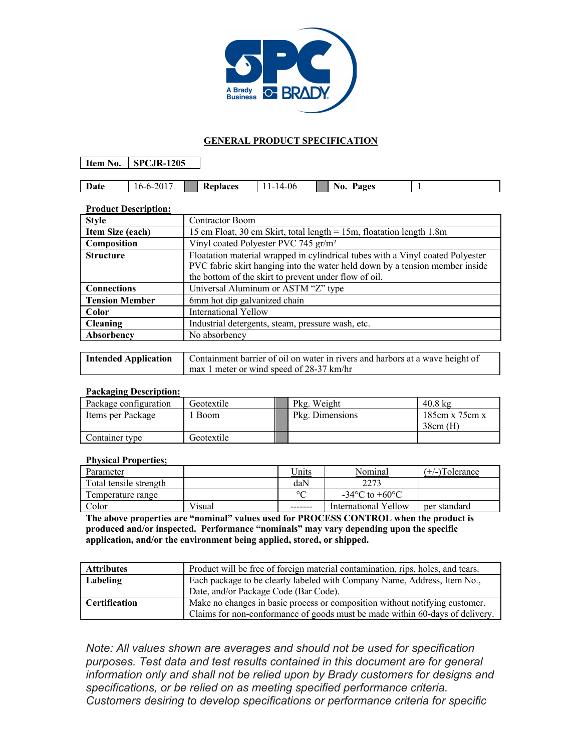

## **GENERAL PRODUCT SPECIFICATION**

**Item No. SPCJR-1205**

| Date | 71.<br>いーいー<br>20 I<br>1 V | Replaces | .4-06<br>. . | Ряоес<br>'NO.<br>ะเง<br> |  |
|------|----------------------------|----------|--------------|--------------------------|--|

## **Product Description:**

| <b>Style</b>          | <b>Contractor Boom</b>                                                                                                                                                                                                  |  |  |
|-----------------------|-------------------------------------------------------------------------------------------------------------------------------------------------------------------------------------------------------------------------|--|--|
| Item Size (each)      | 15 cm Float, 30 cm Skirt, total length = 15m, floatation length 1.8m                                                                                                                                                    |  |  |
| Composition           | Vinyl coated Polyester PVC 745 gr/m <sup>2</sup>                                                                                                                                                                        |  |  |
| <b>Structure</b>      | Floatation material wrapped in cylindrical tubes with a Vinyl coated Polyester<br>PVC fabric skirt hanging into the water held down by a tension member inside<br>the bottom of the skirt to prevent under flow of oil. |  |  |
| <b>Connections</b>    | Universal Aluminum or ASTM "Z" type                                                                                                                                                                                     |  |  |
| <b>Tension Member</b> | 6mm hot dip galvanized chain                                                                                                                                                                                            |  |  |
| <b>Color</b>          | <b>International Yellow</b>                                                                                                                                                                                             |  |  |
| <b>Cleaning</b>       | Industrial detergents, steam, pressure wash, etc.                                                                                                                                                                       |  |  |
| Absorbency            | No absorbency                                                                                                                                                                                                           |  |  |

| <b>Intended Application</b>   Containment barrier of oil on water in rivers and harbors at a wave height of |  |  |
|-------------------------------------------------------------------------------------------------------------|--|--|
| $\frac{1}{2}$ max 1 meter or wind speed of 28-37 km/hr                                                      |  |  |

## **Packaging Description:**

| Package configuration | Geotextile  | Pkg. Weight     | $40.8 \text{ kg}$ |
|-----------------------|-------------|-----------------|-------------------|
| Items per Package     | <b>Boom</b> | Pkg. Dimensions | 185cm x 75cm x    |
|                       |             |                 | $38cm$ (H)        |
| Container type        | Geotextile  |                 |                   |

## **Physical Properties;**

| Parameter              |        | Units    | Nominal                            | $(+/-)$ Tolerance |
|------------------------|--------|----------|------------------------------------|-------------------|
| Total tensile strength |        | daN      | 2273                               |                   |
| Temperature range      |        | $\circ$  | $-34^{\circ}$ C to $+60^{\circ}$ C |                   |
| Color                  | Visual | -------- | International Yellow               | ner standard      |

**The above properties are "nominal" values used for PROCESS CONTROL when the product is produced and/or inspected. Performance "nominals" may vary depending upon the specific application, and/or the environment being applied, stored, or shipped.**

| <b>Attributes</b>    | Product will be free of foreign material contamination, rips, holes, and tears. |  |
|----------------------|---------------------------------------------------------------------------------|--|
| Labeling             | Each package to be clearly labeled with Company Name, Address, Item No.,        |  |
|                      | Date, and/or Package Code (Bar Code).                                           |  |
| <b>Certification</b> | Make no changes in basic process or composition without notifying customer.     |  |
|                      | Claims for non-conformance of goods must be made within 60-days of delivery.    |  |

*Note: All values shown are averages and should not be used for specification purposes. Test data and test results contained in this document are for general information only and shall not be relied upon by Brady customers for designs and specifications, or be relied on as meeting specified performance criteria. Customers desiring to develop specifications or performance criteria for specific*